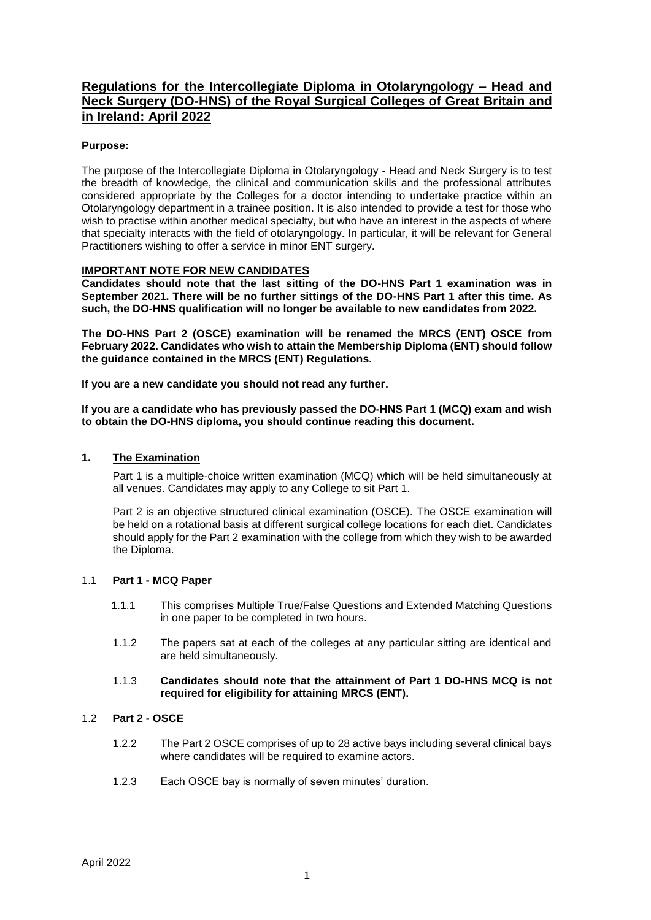# **Regulations for the Intercollegiate Diploma in Otolaryngology – Head and Neck Surgery (DO-HNS) of the Royal Surgical Colleges of Great Britain and in Ireland: April 2022**

## **Purpose:**

The purpose of the Intercollegiate Diploma in Otolaryngology - Head and Neck Surgery is to test the breadth of knowledge, the clinical and communication skills and the professional attributes considered appropriate by the Colleges for a doctor intending to undertake practice within an Otolaryngology department in a trainee position. It is also intended to provide a test for those who wish to practise within another medical specialty, but who have an interest in the aspects of where that specialty interacts with the field of otolaryngology. In particular, it will be relevant for General Practitioners wishing to offer a service in minor ENT surgery.

#### **IMPORTANT NOTE FOR NEW CANDIDATES**

**Candidates should note that the last sitting of the DO-HNS Part 1 examination was in September 2021. There will be no further sittings of the DO-HNS Part 1 after this time. As such, the DO-HNS qualification will no longer be available to new candidates from 2022.**

**The DO-HNS Part 2 (OSCE) examination will be renamed the MRCS (ENT) OSCE from February 2022. Candidates who wish to attain the Membership Diploma (ENT) should follow the guidance contained in the MRCS (ENT) Regulations.**

**If you are a new candidate you should not read any further.**

**If you are a candidate who has previously passed the DO-HNS Part 1 (MCQ) exam and wish to obtain the DO-HNS diploma, you should continue reading this document.**

#### **1. The Examination**

Part 1 is a multiple-choice written examination (MCQ) which will be held simultaneously at all venues. Candidates may apply to any College to sit Part 1.

Part 2 is an objective structured clinical examination (OSCE). The OSCE examination will be held on a rotational basis at different surgical college locations for each diet. Candidates should apply for the Part 2 examination with the college from which they wish to be awarded the Diploma.

#### 1.1 **Part 1 - MCQ Paper**

- 1.1.1 This comprises Multiple True/False Questions and Extended Matching Questions in one paper to be completed in two hours.
- 1.1.2 The papers sat at each of the colleges at any particular sitting are identical and are held simultaneously.

#### 1.1.3 **Candidates should note that the attainment of Part 1 DO-HNS MCQ is not required for eligibility for attaining MRCS (ENT).**

# 1.2 **Part 2 - OSCE**

- 1.2.2 The Part 2 OSCE comprises of up to 28 active bays including several clinical bays where candidates will be required to examine actors.
- 1.2.3 Each OSCE bay is normally of seven minutes' duration.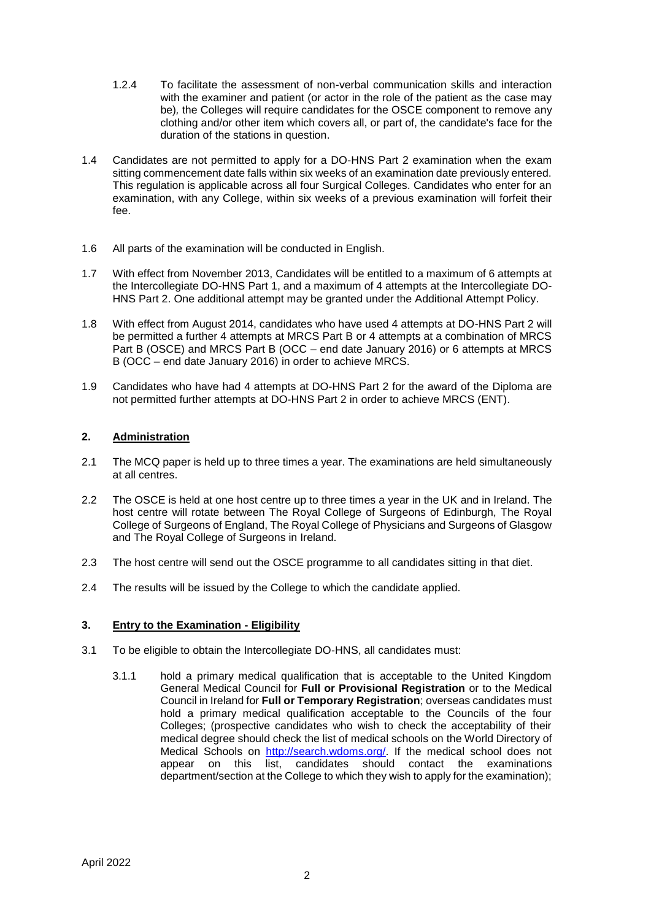- 1.2.4 To facilitate the assessment of non-verbal communication skills and interaction with the examiner and patient (or actor in the role of the patient as the case may be)*,* the Colleges will require candidates for the OSCE component to remove any clothing and/or other item which covers all, or part of, the candidate's face for the duration of the stations in question.
- 1.4 Candidates are not permitted to apply for a DO-HNS Part 2 examination when the exam sitting commencement date falls within six weeks of an examination date previously entered. This regulation is applicable across all four Surgical Colleges. Candidates who enter for an examination, with any College, within six weeks of a previous examination will forfeit their fee.
- 1.6 All parts of the examination will be conducted in English.
- 1.7 With effect from November 2013, Candidates will be entitled to a maximum of 6 attempts at the Intercollegiate DO-HNS Part 1, and a maximum of 4 attempts at the Intercollegiate DO-HNS Part 2. One additional attempt may be granted under the Additional Attempt Policy.
- 1.8 With effect from August 2014, candidates who have used 4 attempts at DO-HNS Part 2 will be permitted a further 4 attempts at MRCS Part B or 4 attempts at a combination of MRCS Part B (OSCE) and MRCS Part B (OCC – end date January 2016) or 6 attempts at MRCS B (OCC – end date January 2016) in order to achieve MRCS.
- 1.9 Candidates who have had 4 attempts at DO-HNS Part 2 for the award of the Diploma are not permitted further attempts at DO-HNS Part 2 in order to achieve MRCS (ENT).

## **2. Administration**

- 2.1 The MCQ paper is held up to three times a year. The examinations are held simultaneously at all centres.
- 2.2 The OSCE is held at one host centre up to three times a year in the UK and in Ireland. The host centre will rotate between The Royal College of Surgeons of Edinburgh, The Royal College of Surgeons of England, The Royal College of Physicians and Surgeons of Glasgow and The Royal College of Surgeons in Ireland.
- 2.3 The host centre will send out the OSCE programme to all candidates sitting in that diet.
- 2.4 The results will be issued by the College to which the candidate applied.

## **3. Entry to the Examination - Eligibility**

- 3.1 To be eligible to obtain the Intercollegiate DO-HNS, all candidates must:
	- 3.1.1 hold a primary medical qualification that is acceptable to the United Kingdom General Medical Council for **Full or Provisional Registration** or to the Medical Council in Ireland for **Full or Temporary Registration**; overseas candidates must hold a primary medical qualification acceptable to the Councils of the four Colleges; (prospective candidates who wish to check the acceptability of their medical degree should check the list of medical schools on the World Directory of Medical Schools on [http://search.wdoms.org/.](http://search.wdoms.org/) If the medical school does not appear on this list, candidates should contact the examinations department/section at the College to which they wish to apply for the examination);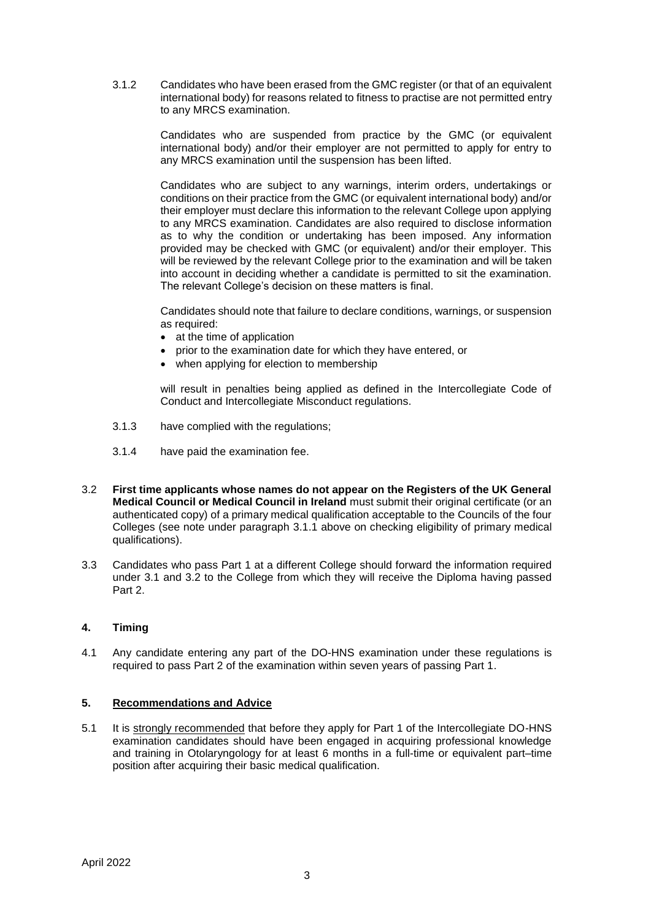3.1.2 Candidates who have been erased from the GMC register (or that of an equivalent international body) for reasons related to fitness to practise are not permitted entry to any MRCS examination.

> Candidates who are suspended from practice by the GMC (or equivalent international body) and/or their employer are not permitted to apply for entry to any MRCS examination until the suspension has been lifted.

> Candidates who are subject to any warnings, interim orders, undertakings or conditions on their practice from the GMC (or equivalent international body) and/or their employer must declare this information to the relevant College upon applying to any MRCS examination. Candidates are also required to disclose information as to why the condition or undertaking has been imposed. Any information provided may be checked with GMC (or equivalent) and/or their employer. This will be reviewed by the relevant College prior to the examination and will be taken into account in deciding whether a candidate is permitted to sit the examination. The relevant College's decision on these matters is final.

> Candidates should note that failure to declare conditions, warnings, or suspension as required:

- at the time of application
- prior to the examination date for which they have entered, or
- when applying for election to membership

will result in penalties being applied as defined in the Intercollegiate Code of Conduct and Intercollegiate Misconduct regulations.

- 3.1.3 have complied with the regulations;
- 3.1.4 have paid the examination fee.
- 3.2 **First time applicants whose names do not appear on the Registers of the UK General Medical Council or Medical Council in Ireland** must submit their original certificate (or an authenticated copy) of a primary medical qualification acceptable to the Councils of the four Colleges (see note under paragraph 3.1.1 above on checking eligibility of primary medical qualifications).
- 3.3 Candidates who pass Part 1 at a different College should forward the information required under 3.1 and 3.2 to the College from which they will receive the Diploma having passed Part 2.

## **4. Timing**

4.1 Any candidate entering any part of the DO-HNS examination under these regulations is required to pass Part 2 of the examination within seven years of passing Part 1.

#### **5. Recommendations and Advice**

5.1 It is strongly recommended that before they apply for Part 1 of the Intercollegiate DO-HNS examination candidates should have been engaged in acquiring professional knowledge and training in Otolaryngology for at least 6 months in a full-time or equivalent part–time position after acquiring their basic medical qualification.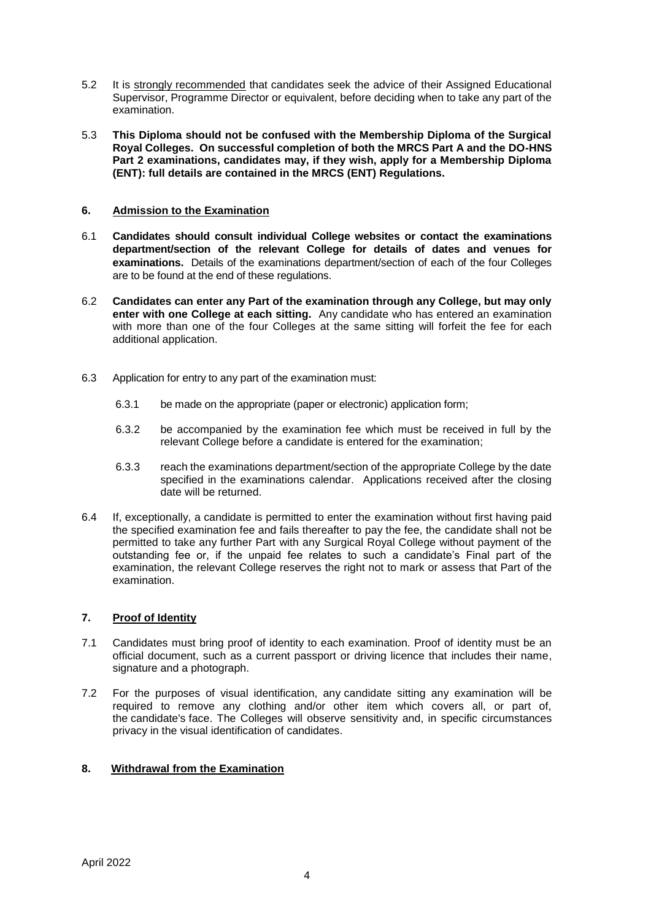- 5.2 It is strongly recommended that candidates seek the advice of their Assigned Educational Supervisor, Programme Director or equivalent, before deciding when to take any part of the examination.
- 5.3 **This Diploma should not be confused with the Membership Diploma of the Surgical Royal Colleges. On successful completion of both the MRCS Part A and the DO-HNS Part 2 examinations, candidates may, if they wish, apply for a Membership Diploma (ENT): full details are contained in the MRCS (ENT) Regulations.**

#### **6. Admission to the Examination**

- 6.1 **Candidates should consult individual College websites or contact the examinations department/section of the relevant College for details of dates and venues for examinations.** Details of the examinations department/section of each of the four Colleges are to be found at the end of these regulations.
- 6.2 **Candidates can enter any Part of the examination through any College, but may only enter with one College at each sitting.** Any candidate who has entered an examination with more than one of the four Colleges at the same sitting will forfeit the fee for each additional application.
- 6.3 Application for entry to any part of the examination must:
	- 6.3.1 be made on the appropriate (paper or electronic) application form;
	- 6.3.2 be accompanied by the examination fee which must be received in full by the relevant College before a candidate is entered for the examination;
	- 6.3.3 reach the examinations department/section of the appropriate College by the date specified in the examinations calendar. Applications received after the closing date will be returned.
- 6.4 If, exceptionally, a candidate is permitted to enter the examination without first having paid the specified examination fee and fails thereafter to pay the fee, the candidate shall not be permitted to take any further Part with any Surgical Royal College without payment of the outstanding fee or, if the unpaid fee relates to such a candidate's Final part of the examination, the relevant College reserves the right not to mark or assess that Part of the examination.

## **7. Proof of Identity**

- 7.1 Candidates must bring proof of identity to each examination. Proof of identity must be an official document, such as a current passport or driving licence that includes their name, signature and a photograph.
- 7.2 For the purposes of visual identification, any candidate sitting any examination will be required to remove any clothing and/or other item which covers all, or part of, the candidate's face. The Colleges will observe sensitivity and, in specific circumstances privacy in the visual identification of candidates.

## **8. Withdrawal from the Examination**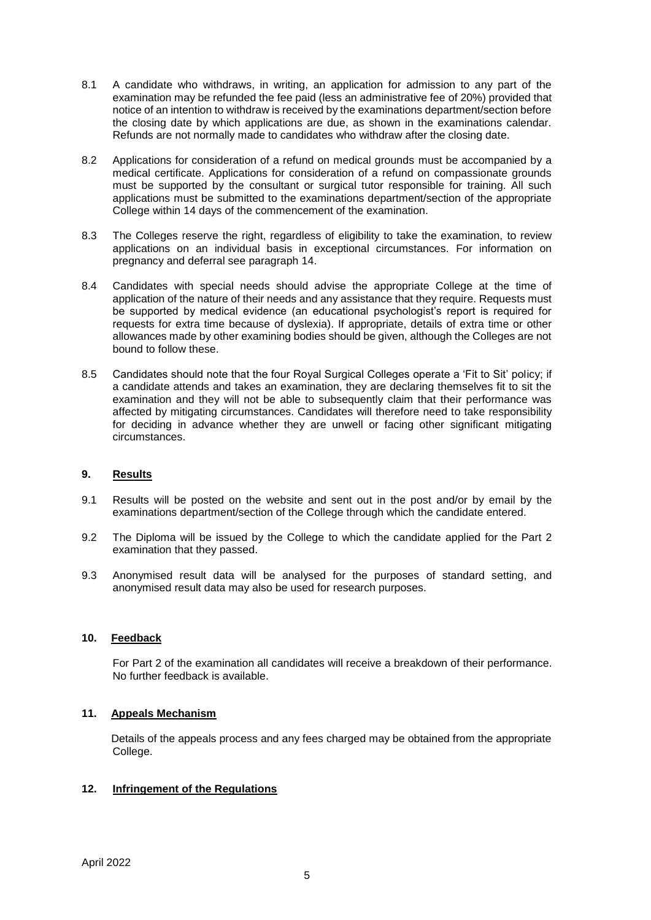- 8.1 A candidate who withdraws, in writing, an application for admission to any part of the examination may be refunded the fee paid (less an administrative fee of 20%) provided that notice of an intention to withdraw is received by the examinations department/section before the closing date by which applications are due, as shown in the examinations calendar. Refunds are not normally made to candidates who withdraw after the closing date.
- 8.2 Applications for consideration of a refund on medical grounds must be accompanied by a medical certificate. Applications for consideration of a refund on compassionate grounds must be supported by the consultant or surgical tutor responsible for training. All such applications must be submitted to the examinations department/section of the appropriate College within 14 days of the commencement of the examination.
- 8.3 The Colleges reserve the right, regardless of eligibility to take the examination, to review applications on an individual basis in exceptional circumstances. For information on pregnancy and deferral see paragraph 14.
- 8.4 Candidates with special needs should advise the appropriate College at the time of application of the nature of their needs and any assistance that they require. Requests must be supported by medical evidence (an educational psychologist's report is required for requests for extra time because of dyslexia). If appropriate, details of extra time or other allowances made by other examining bodies should be given, although the Colleges are not bound to follow these.
- 8.5 Candidates should note that the four Royal Surgical Colleges operate a 'Fit to Sit' policy; if a candidate attends and takes an examination, they are declaring themselves fit to sit the examination and they will not be able to subsequently claim that their performance was affected by mitigating circumstances. Candidates will therefore need to take responsibility for deciding in advance whether they are unwell or facing other significant mitigating circumstances.

#### **9. Results**

- 9.1 Results will be posted on the website and sent out in the post and/or by email by the examinations department/section of the College through which the candidate entered.
- 9.2 The Diploma will be issued by the College to which the candidate applied for the Part 2 examination that they passed.
- 9.3 Anonymised result data will be analysed for the purposes of standard setting, and anonymised result data may also be used for research purposes.

#### **10. Feedback**

For Part 2 of the examination all candidates will receive a breakdown of their performance. No further feedback is available.

# **11. Appeals Mechanism**

Details of the appeals process and any fees charged may be obtained from the appropriate College.

## **12. Infringement of the Regulations**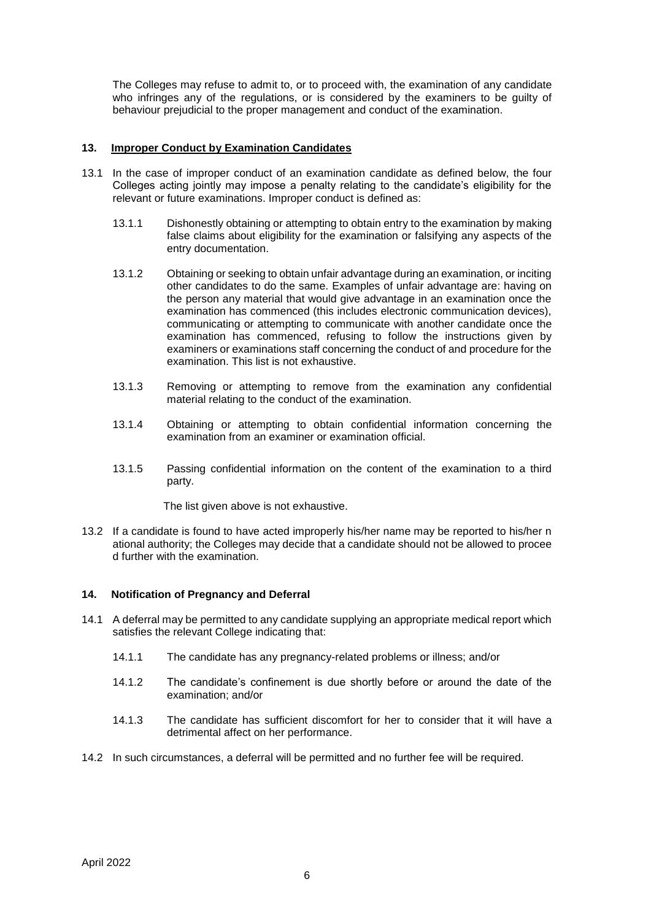The Colleges may refuse to admit to, or to proceed with, the examination of any candidate who infringes any of the regulations, or is considered by the examiners to be guilty of behaviour prejudicial to the proper management and conduct of the examination.

#### **13. Improper Conduct by Examination Candidates**

- 13.1 In the case of improper conduct of an examination candidate as defined below, the four Colleges acting jointly may impose a penalty relating to the candidate's eligibility for the relevant or future examinations. Improper conduct is defined as:
	- 13.1.1 Dishonestly obtaining or attempting to obtain entry to the examination by making false claims about eligibility for the examination or falsifying any aspects of the entry documentation.
	- 13.1.2 Obtaining or seeking to obtain unfair advantage during an examination, or inciting other candidates to do the same. Examples of unfair advantage are: having on the person any material that would give advantage in an examination once the examination has commenced (this includes electronic communication devices), communicating or attempting to communicate with another candidate once the examination has commenced, refusing to follow the instructions given by examiners or examinations staff concerning the conduct of and procedure for the examination. This list is not exhaustive.
	- 13.1.3 Removing or attempting to remove from the examination any confidential material relating to the conduct of the examination.
	- 13.1.4 Obtaining or attempting to obtain confidential information concerning the examination from an examiner or examination official.
	- 13.1.5 Passing confidential information on the content of the examination to a third party.

The list given above is not exhaustive.

13.2 If a candidate is found to have acted improperly his/her name may be reported to his/her n ational authority; the Colleges may decide that a candidate should not be allowed to procee d further with the examination.

#### **14. Notification of Pregnancy and Deferral**

- 14.1 A deferral may be permitted to any candidate supplying an appropriate medical report which satisfies the relevant College indicating that:
	- 14.1.1 The candidate has any pregnancy-related problems or illness; and/or
	- 14.1.2 The candidate's confinement is due shortly before or around the date of the examination; and/or
	- 14.1.3 The candidate has sufficient discomfort for her to consider that it will have a detrimental affect on her performance.
- 14.2 In such circumstances, a deferral will be permitted and no further fee will be required.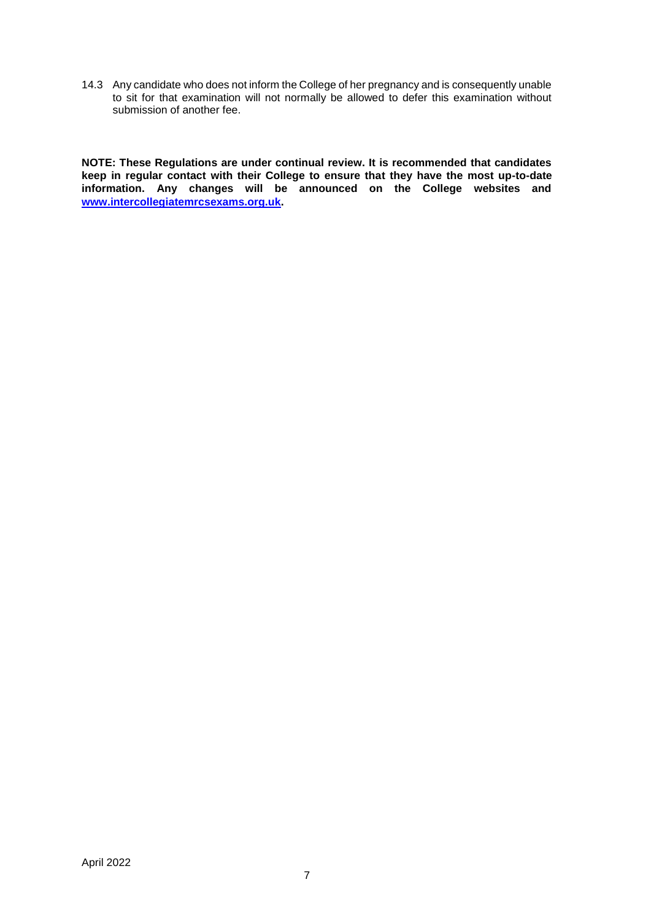14.3 Any candidate who does not inform the College of her pregnancy and is consequently unable to sit for that examination will not normally be allowed to defer this examination without submission of another fee.

**NOTE: These Regulations are under continual review. It is recommended that candidates keep in regular contact with their College to ensure that they have the most up-to-date information. Any changes will be announced on the College websites and [www.intercollegiatemrcsexams.org.uk.](http://www.intercollegiatemrcsexams.org.uk/)**